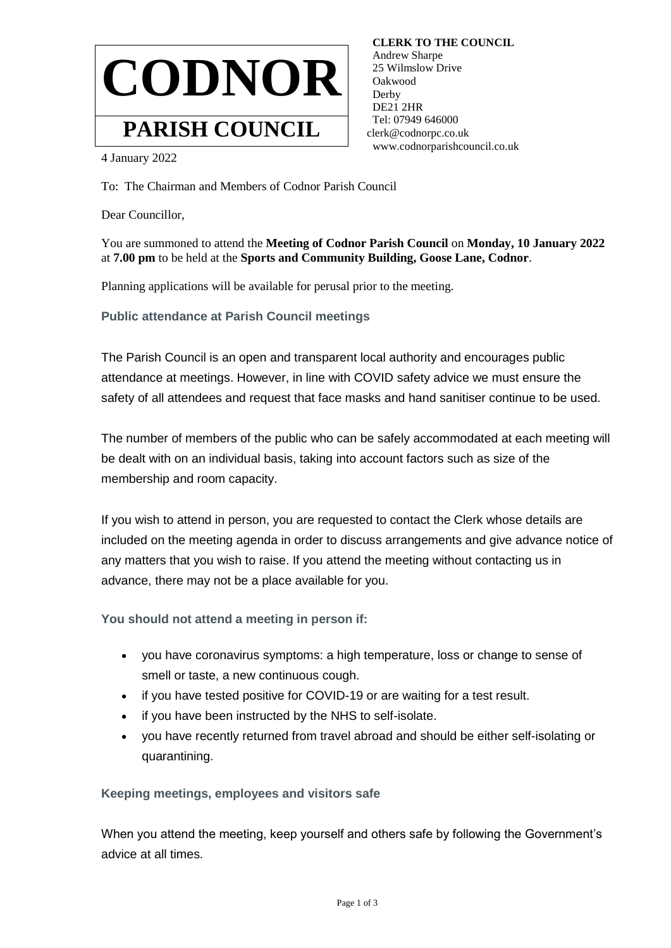

 **CLERK TO THE COUNCIL** Andrew Sharpe 25 Wilmslow Drive Oakwood Derby DE21 2HR Tel: 07949 646000 clerk@codnorpc.co.uk www.codnorparishcouncil.co.uk

4 January 2022

To: The Chairman and Members of Codnor Parish Council

Dear Councillor,

You are summoned to attend the **Meeting of Codnor Parish Council** on **Monday, 10 January 2022**  at **7.00 pm** to be held at the **Sports and Community Building, Goose Lane, Codnor**.

Planning applications will be available for perusal prior to the meeting.

**Public attendance at Parish Council meetings**

The Parish Council is an open and transparent local authority and encourages public attendance at meetings. However, in line with COVID safety advice we must ensure the safety of all attendees and request that face masks and hand sanitiser continue to be used.

The number of members of the public who can be safely accommodated at each meeting will be dealt with on an individual basis, taking into account factors such as size of the membership and room capacity.

If you wish to attend in person, you are requested to contact the Clerk whose details are included on the meeting agenda in order to discuss arrangements and give advance notice of any matters that you wish to raise. If you attend the meeting without contacting us in advance, there may not be a place available for you.

**You should not attend a meeting in person if:**

- you have coronavirus symptoms: a high temperature, loss or change to sense of smell or taste, a new continuous cough.
- if you have tested positive for COVID-19 or are waiting for a test result.
- if you have been instructed by the NHS to self-isolate.
- you have recently returned from travel abroad and should be either self-isolating or quarantining.

## **Keeping meetings, employees and visitors safe**

When you attend the meeting, keep yourself and others safe by following the Government's advice at all times.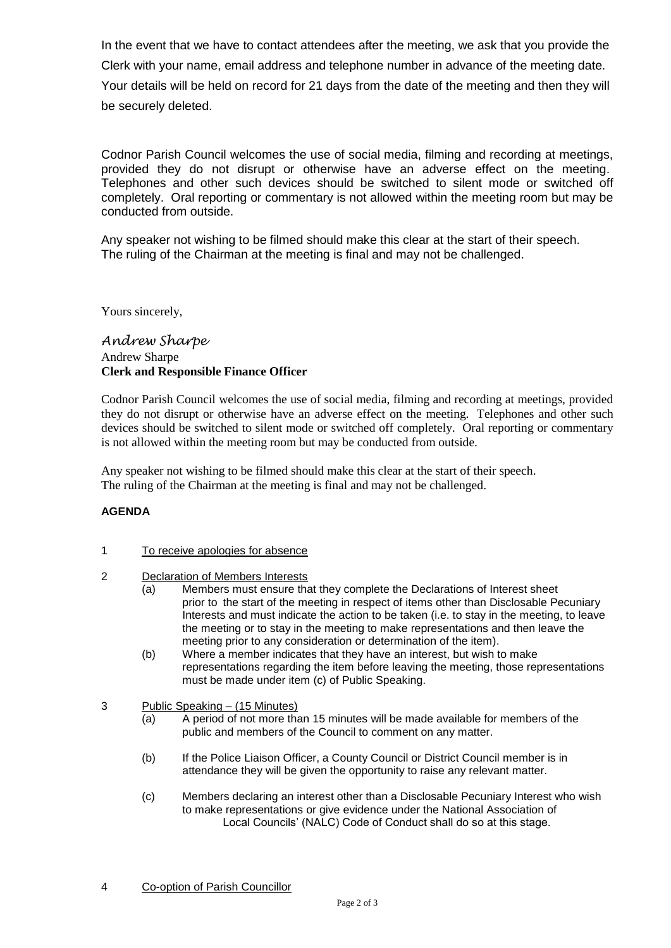In the event that we have to contact attendees after the meeting, we ask that you provide the Clerk with your name, email address and telephone number in advance of the meeting date. Your details will be held on record for 21 days from the date of the meeting and then they will be securely deleted.

Codnor Parish Council welcomes the use of social media, filming and recording at meetings, provided they do not disrupt or otherwise have an adverse effect on the meeting. Telephones and other such devices should be switched to silent mode or switched off completely. Oral reporting or commentary is not allowed within the meeting room but may be conducted from outside.

Any speaker not wishing to be filmed should make this clear at the start of their speech. The ruling of the Chairman at the meeting is final and may not be challenged.

Yours sincerely,

## *Andrew Sharpe* Andrew Sharpe **Clerk and Responsible Finance Officer**

Codnor Parish Council welcomes the use of social media, filming and recording at meetings, provided they do not disrupt or otherwise have an adverse effect on the meeting. Telephones and other such devices should be switched to silent mode or switched off completely. Oral reporting or commentary is not allowed within the meeting room but may be conducted from outside.

Any speaker not wishing to be filmed should make this clear at the start of their speech. The ruling of the Chairman at the meeting is final and may not be challenged.

## **AGENDA**

- 1 To receive apologies for absence
- 2 Declaration of Members Interests
	- (a) Members must ensure that they complete the Declarations of Interest sheet prior to the start of the meeting in respect of items other than Disclosable Pecuniary Interests and must indicate the action to be taken (i.e. to stay in the meeting, to leave the meeting or to stay in the meeting to make representations and then leave the meeting prior to any consideration or determination of the item).
	- (b) Where a member indicates that they have an interest, but wish to make representations regarding the item before leaving the meeting, those representations must be made under item (c) of Public Speaking.

## 3 Public Speaking – (15 Minutes)

- (a) A period of not more than 15 minutes will be made available for members of the public and members of the Council to comment on any matter.
- (b) If the Police Liaison Officer, a County Council or District Council member is in attendance they will be given the opportunity to raise any relevant matter.
- (c) Members declaring an interest other than a Disclosable Pecuniary Interest who wish to make representations or give evidence under the National Association of Local Councils' (NALC) Code of Conduct shall do so at this stage.